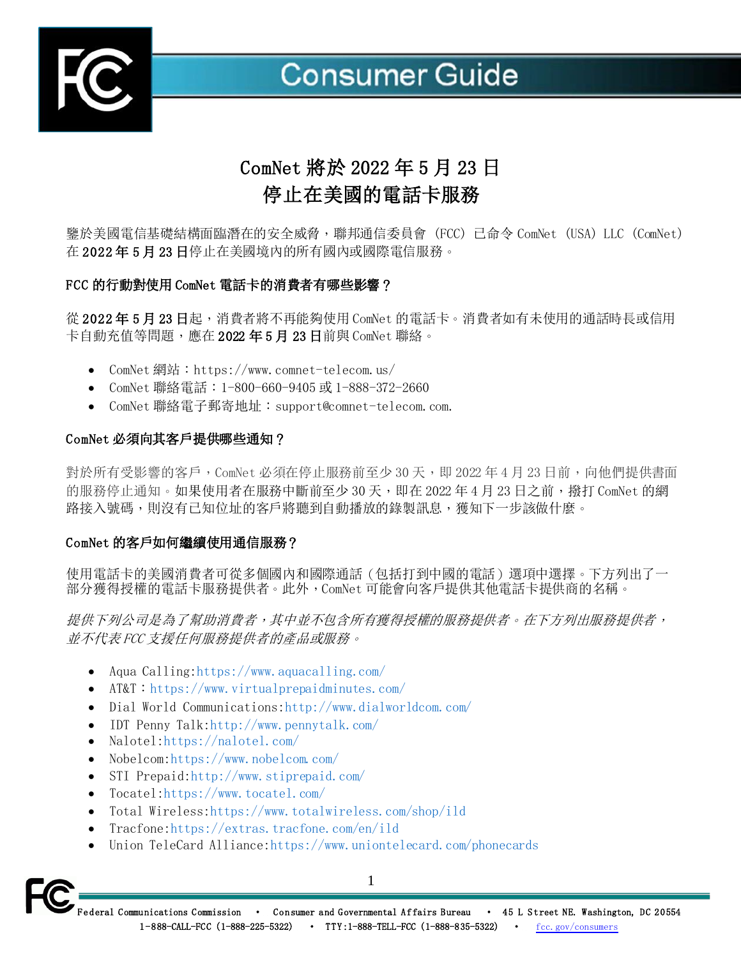

# **Consumer Guide**

# ComNet 將於 2022 年 5 月 23 日 停止在美國的電話卡服務

鑒於美國電信基礎結構面臨潛在的安全威脅,聯邦通信委員會 (FCC) 已命令 ComNet (USA) LLC (ComNet) 在 2022 年 5 月 23 日停止在美國境內的所有國內或國際電信服務。

## FCC 的行動對使用 ComNet 電話卡的消費者有哪些影響?

從 2022年5月23日起,消費者將不再能夠使用 ComNet 的電話卡。消費者如有未使用的通話時長或信用 卡自動充值等問題,應在 2022 年 5 月 23 日前與 ComNet 聯絡。

- ComNet 網站:https://www.comnet-telecom.us/
- ComNet 聯絡電話:1-800-660-9405 或 1-888-372-2660
- ComNet 聯絡電子郵寄地址:[support@comnet-telecom.com](mailto:support@comnet-telecom.com).

#### ComNet 必須向其客戶提供哪些通知?

對於所有受影響的客戶, ComNet 必須在停止服務前至少 30 天, 即 2022 年 4 月 23 日前, 向他們提供書面 的服務停止通知。如果使用者在服務中斷前至少 30 天,即在 2022 年 4 月 23 日之前,撥打 ComNet 的網 路接入號碼,則沒有已知位址的客戶將聽到自動播放的錄製訊息,獲知下一步該做什麼。

#### ComNet 的客戶如何繼續使用通信服務?

使用電話卡的美國消費者可從多個國內和國際通話(包括打到中國的電話)選項中選擇。下方列出了一 部分獲得授權的電話卡服務提供者。此外,ComNet 可能會向客戶提供其他電話卡提供商的名稱。

提供下列公司是為了幫助消費者,其中並不包含所有獲得授權的服務提供者。在下方列出服務提供者, 並不代表 FCC 支援任何服務提供者的產品或服務。

- Aqua Calling[:https://www](https://www/).aquacalling.com/
- AT&T: <https://www.virtualprepaidminutes.com/>
- Dial World Communications: http://www.dialworldcom.com/
- IDT Penny Talk[:http://www.pennytalk.com/](http://www.pennytalk.com/)
- Nalotel[:https://nalotel.com/](https://nalotel.com/)
- Nobelcom[:https://www.nobelcom.com/](https://www.nobelcom.com/)
- STI Prepaid: http://www.stiprepaid.com/
- Tocatel[:https://www.tocatel.com/](https://www.tocatel.com/)
- Total Wireless[:https://www.totalwireless.com/shop/ild](https://www.totalwireless.com/shop/ild)
- Tracfone: https://extras.tracfone.com/en/ild
- Union TeleCard Alliance: https://www.uniontelecard.com/phonecards